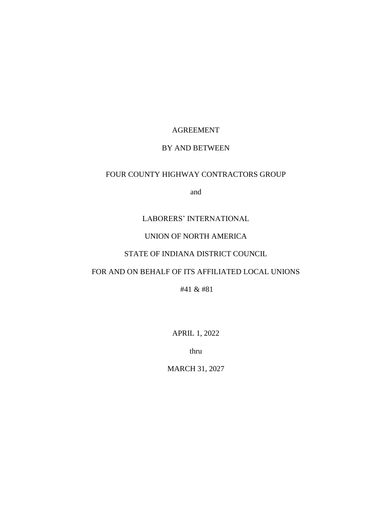# AGREEMENT

## BY AND BETWEEN

## FOUR COUNTY HIGHWAY CONTRACTORS GROUP

and

# LABORERS' INTERNATIONAL

# UNION OF NORTH AMERICA

# STATE OF INDIANA DISTRICT COUNCIL

## FOR AND ON BEHALF OF ITS AFFILIATED LOCAL UNIONS

#41 & #81

APRIL 1, 2022

thru

MARCH 31, 2027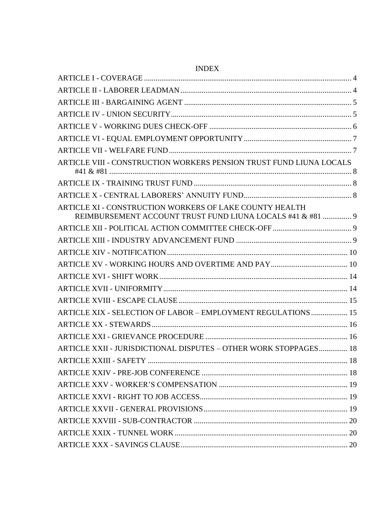| ARTICLE VIII - CONSTRUCTION WORKERS PENSION TRUST FUND LIUNA LOCALS                                                   |  |
|-----------------------------------------------------------------------------------------------------------------------|--|
|                                                                                                                       |  |
|                                                                                                                       |  |
| ARTICLE XI - CONSTRUCTION WORKERS OF LAKE COUNTY HEALTH<br>REIMBURSEMENT ACCOUNT TRUST FUND LIUNA LOCALS #41 & #81  9 |  |
|                                                                                                                       |  |
|                                                                                                                       |  |
|                                                                                                                       |  |
|                                                                                                                       |  |
|                                                                                                                       |  |
|                                                                                                                       |  |
|                                                                                                                       |  |
| ARTICLE XIX - SELECTION OF LABOR - EMPLOYMENT REGULATIONS  15                                                         |  |
|                                                                                                                       |  |
|                                                                                                                       |  |
| ARTICLE XXII - JURISDICTIONAL DISPUTES - OTHER WORK STOPPAGES 18                                                      |  |
|                                                                                                                       |  |
|                                                                                                                       |  |
|                                                                                                                       |  |
|                                                                                                                       |  |
|                                                                                                                       |  |
|                                                                                                                       |  |
|                                                                                                                       |  |
|                                                                                                                       |  |

# **INDEX**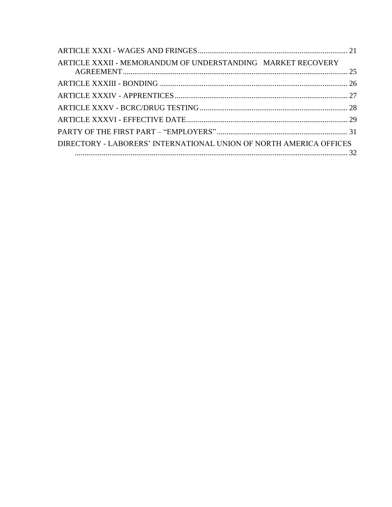| ARTICLE XXXII - MEMORANDUM OF UNDERSTANDING MARKET RECOVERY        |  |
|--------------------------------------------------------------------|--|
|                                                                    |  |
|                                                                    |  |
|                                                                    |  |
|                                                                    |  |
|                                                                    |  |
| DIRECTORY - LABORERS' INTERNATIONAL UNION OF NORTH AMERICA OFFICES |  |
|                                                                    |  |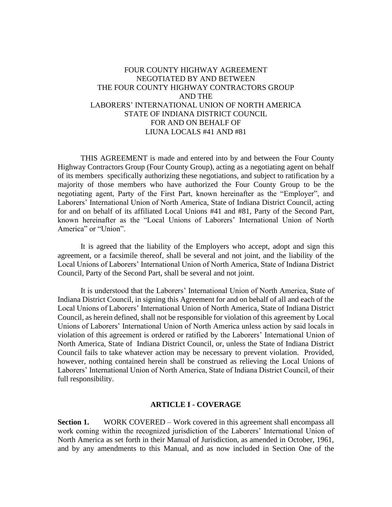# FOUR COUNTY HIGHWAY AGREEMENT NEGOTIATED BY AND BETWEEN THE FOUR COUNTY HIGHWAY CONTRACTORS GROUP AND THE LABORERS' INTERNATIONAL UNION OF NORTH AMERICA STATE OF INDIANA DISTRICT COUNCIL FOR AND ON BEHALF OF LIUNA LOCALS #41 AND #81

THIS AGREEMENT is made and entered into by and between the Four County Highway Contractors Group (Four County Group), acting as a negotiating agent on behalf of its members specifically authorizing these negotiations, and subject to ratification by a majority of those members who have authorized the Four County Group to be the negotiating agent, Party of the First Part, known hereinafter as the "Employer", and Laborers' International Union of North America, State of Indiana District Council, acting for and on behalf of its affiliated Local Unions #41 and #81, Party of the Second Part, known hereinafter as the "Local Unions of Laborers' International Union of North America" or "Union".

It is agreed that the liability of the Employers who accept, adopt and sign this agreement, or a facsimile thereof, shall be several and not joint, and the liability of the Local Unions of Laborers' International Union of North America, State of Indiana District Council, Party of the Second Part, shall be several and not joint.

It is understood that the Laborers' International Union of North America, State of Indiana District Council, in signing this Agreement for and on behalf of all and each of the Local Unions of Laborers' International Union of North America, State of Indiana District Council, as herein defined, shall not be responsible for violation of this agreement by Local Unions of Laborers' International Union of North America unless action by said locals in violation of this agreement is ordered or ratified by the Laborers' International Union of North America, State of Indiana District Council, or, unless the State of Indiana District Council fails to take whatever action may be necessary to prevent violation. Provided, however, nothing contained herein shall be construed as relieving the Local Unions of Laborers' International Union of North America, State of Indiana District Council, of their full responsibility.

#### **ARTICLE I - COVERAGE**

<span id="page-3-0"></span>**Section 1.** WORK COVERED – Work covered in this agreement shall encompass all work coming within the recognized jurisdiction of the Laborers' International Union of North America as set forth in their Manual of Jurisdiction, as amended in October, 1961, and by any amendments to this Manual, and as now included in Section One of the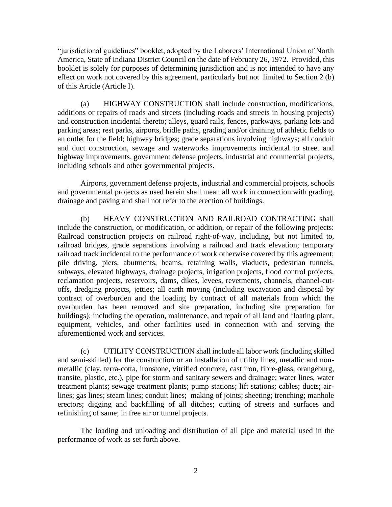"jurisdictional guidelines" booklet, adopted by the Laborers' International Union of North America, State of Indiana District Council on the date of February 26, 1972. Provided, this booklet is solely for purposes of determining jurisdiction and is not intended to have any effect on work not covered by this agreement, particularly but not limited to Section 2 (b) of this Article (Article I).

(a) HIGHWAY CONSTRUCTION shall include construction, modifications, additions or repairs of roads and streets (including roads and streets in housing projects) and construction incidental thereto; alleys, guard rails, fences, parkways, parking lots and parking areas; rest parks, airports, bridle paths, grading and/or draining of athletic fields to an outlet for the field; highway bridges; grade separations involving highways; all conduit and duct construction, sewage and waterworks improvements incidental to street and highway improvements, government defense projects, industrial and commercial projects, including schools and other governmental projects.

Airports, government defense projects, industrial and commercial projects, schools and governmental projects as used herein shall mean all work in connection with grading, drainage and paving and shall not refer to the erection of buildings.

(b) HEAVY CONSTRUCTION AND RAILROAD CONTRACTING shall include the construction, or modification, or addition, or repair of the following projects: Railroad construction projects on railroad right-of-way, including, but not limited to, railroad bridges, grade separations involving a railroad and track elevation; temporary railroad track incidental to the performance of work otherwise covered by this agreement; pile driving, piers, abutments, beams, retaining walls, viaducts, pedestrian tunnels, subways, elevated highways, drainage projects, irrigation projects, flood control projects, reclamation projects, reservoirs, dams, dikes, levees, revetments, channels, channel-cutoffs, dredging projects, jetties; all earth moving (including excavation and disposal by contract of overburden and the loading by contract of all materials from which the overburden has been removed and site preparation, including site preparation for buildings); including the operation, maintenance, and repair of all land and floating plant, equipment, vehicles, and other facilities used in connection with and serving the aforementioned work and services.

(c) UTILITY CONSTRUCTION shall include all labor work (including skilled and semi-skilled) for the construction or an installation of utility lines, metallic and nonmetallic (clay, terra-cotta, ironstone, vitrified concrete, cast iron, fibre-glass, orangeburg, transite, plastic, etc.), pipe for storm and sanitary sewers and drainage; water lines, water treatment plants; sewage treatment plants; pump stations; lift stations; cables; ducts; airlines; gas lines; steam lines; conduit lines; making of joints; sheeting; trenching; manhole erectors; digging and backfilling of all ditches; cutting of streets and surfaces and refinishing of same; in free air or tunnel projects.

The loading and unloading and distribution of all pipe and material used in the performance of work as set forth above.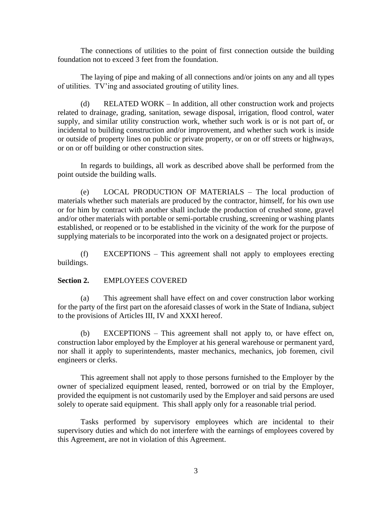The connections of utilities to the point of first connection outside the building foundation not to exceed 3 feet from the foundation.

The laying of pipe and making of all connections and/or joints on any and all types of utilities. TV'ing and associated grouting of utility lines.

(d) RELATED WORK – In addition, all other construction work and projects related to drainage, grading, sanitation, sewage disposal, irrigation, flood control, water supply, and similar utility construction work, whether such work is or is not part of, or incidental to building construction and/or improvement, and whether such work is inside or outside of property lines on public or private property, or on or off streets or highways, or on or off building or other construction sites.

In regards to buildings, all work as described above shall be performed from the point outside the building walls.

(e) LOCAL PRODUCTION OF MATERIALS – The local production of materials whether such materials are produced by the contractor, himself, for his own use or for him by contract with another shall include the production of crushed stone, gravel and/or other materials with portable or semi-portable crushing, screening or washing plants established, or reopened or to be established in the vicinity of the work for the purpose of supplying materials to be incorporated into the work on a designated project or projects.

(f) EXCEPTIONS – This agreement shall not apply to employees erecting buildings.

#### **Section 2.** EMPLOYEES COVERED

(a) This agreement shall have effect on and cover construction labor working for the party of the first part on the aforesaid classes of work in the State of Indiana, subject to the provisions of Articles III, IV and XXXI hereof.

(b) EXCEPTIONS – This agreement shall not apply to, or have effect on, construction labor employed by the Employer at his general warehouse or permanent yard, nor shall it apply to superintendents, master mechanics, mechanics, job foremen, civil engineers or clerks.

This agreement shall not apply to those persons furnished to the Employer by the owner of specialized equipment leased, rented, borrowed or on trial by the Employer, provided the equipment is not customarily used by the Employer and said persons are used solely to operate said equipment. This shall apply only for a reasonable trial period.

Tasks performed by supervisory employees which are incidental to their supervisory duties and which do not interfere with the earnings of employees covered by this Agreement, are not in violation of this Agreement.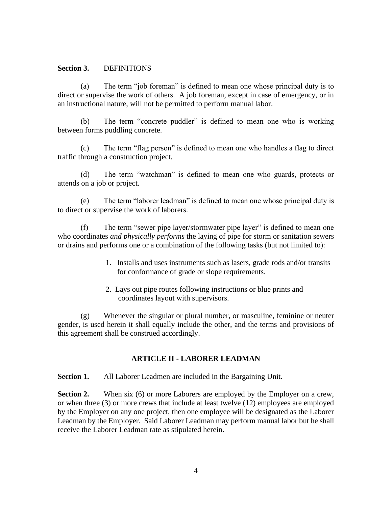#### **Section 3.** DEFINITIONS

(a) The term "job foreman" is defined to mean one whose principal duty is to direct or supervise the work of others. A job foreman, except in case of emergency, or in an instructional nature, will not be permitted to perform manual labor.

(b) The term "concrete puddler" is defined to mean one who is working between forms puddling concrete.

(c) The term "flag person" is defined to mean one who handles a flag to direct traffic through a construction project.

(d) The term "watchman" is defined to mean one who guards, protects or attends on a job or project.

(e) The term "laborer leadman" is defined to mean one whose principal duty is to direct or supervise the work of laborers.

(f) The term "sewer pipe layer/stormwater pipe layer" is defined to mean one who coordinates *and physically performs* the laying of pipe for storm or sanitation sewers or drains and performs one or a combination of the following tasks (but not limited to):

- 1. Installs and uses instruments such as lasers, grade rods and/or transits for conformance of grade or slope requirements.
- 2. Lays out pipe routes following instructions or blue prints and coordinates layout with supervisors.

(g) Whenever the singular or plural number, or masculine, feminine or neuter gender, is used herein it shall equally include the other, and the terms and provisions of this agreement shall be construed accordingly.

#### **ARTICLE II - LABORER LEADMAN**

<span id="page-6-0"></span>**Section 1.** All Laborer Leadmen are included in the Bargaining Unit.

**Section 2.** When six (6) or more Laborers are employed by the Employer on a crew, or when three (3) or more crews that include at least twelve (12) employees are employed by the Employer on any one project, then one employee will be designated as the Laborer Leadman by the Employer. Said Laborer Leadman may perform manual labor but he shall receive the Laborer Leadman rate as stipulated herein.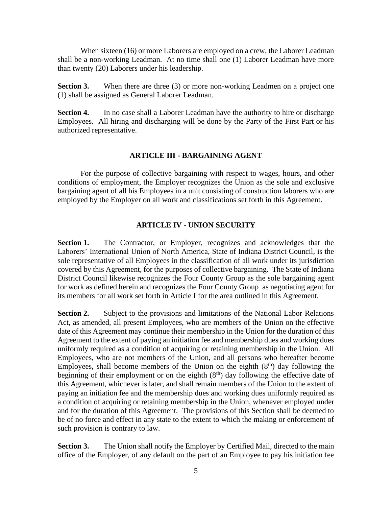When sixteen (16) or more Laborers are employed on a crew, the Laborer Leadman shall be a non-working Leadman. At no time shall one (1) Laborer Leadman have more than twenty (20) Laborers under his leadership.

**Section 3.** When there are three (3) or more non-working Leadmen on a project one (1) shall be assigned as General Laborer Leadman.

**Section 4.** In no case shall a Laborer Leadman have the authority to hire or discharge Employees. All hiring and discharging will be done by the Party of the First Part or his authorized representative.

### **ARTICLE III - BARGAINING AGENT**

<span id="page-7-0"></span>For the purpose of collective bargaining with respect to wages, hours, and other conditions of employment, the Employer recognizes the Union as the sole and exclusive bargaining agent of all his Employees in a unit consisting of construction laborers who are employed by the Employer on all work and classifications set forth in this Agreement.

### **ARTICLE IV - UNION SECURITY**

<span id="page-7-1"></span>Section 1. The Contractor, or Employer, recognizes and acknowledges that the Laborers' International Union of North America, State of Indiana District Council, is the sole representative of all Employees in the classification of all work under its jurisdiction covered by this Agreement, for the purposes of collective bargaining. The State of Indiana District Council likewise recognizes the Four County Group as the sole bargaining agent for work as defined herein and recognizes the Four County Group as negotiating agent for its members for all work set forth in Article I for the area outlined in this Agreement.

**Section 2.** Subject to the provisions and limitations of the National Labor Relations Act, as amended, all present Employees, who are members of the Union on the effective date of this Agreement may continue their membership in the Union for the duration of this Agreement to the extent of paying an initiation fee and membership dues and working dues uniformly required as a condition of acquiring or retaining membership in the Union. All Employees, who are not members of the Union, and all persons who hereafter become Employees, shall become members of the Union on the eighth  $(8<sup>th</sup>)$  day following the beginning of their employment or on the eighth  $(8<sup>th</sup>)$  day following the effective date of this Agreement, whichever is later, and shall remain members of the Union to the extent of paying an initiation fee and the membership dues and working dues uniformly required as a condition of acquiring or retaining membership in the Union, whenever employed under and for the duration of this Agreement. The provisions of this Section shall be deemed to be of no force and effect in any state to the extent to which the making or enforcement of such provision is contrary to law.

**Section 3.** The Union shall notify the Employer by Certified Mail, directed to the main office of the Employer, of any default on the part of an Employee to pay his initiation fee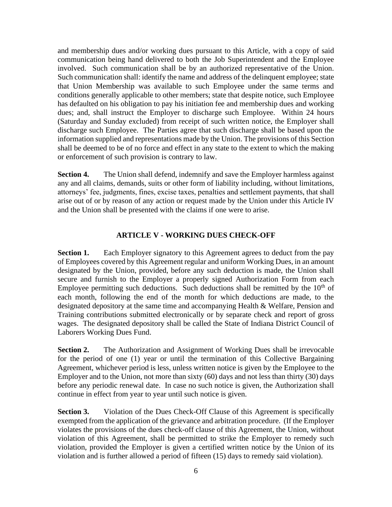and membership dues and/or working dues pursuant to this Article, with a copy of said communication being hand delivered to both the Job Superintendent and the Employee involved. Such communication shall be by an authorized representative of the Union. Such communication shall: identify the name and address of the delinquent employee; state that Union Membership was available to such Employee under the same terms and conditions generally applicable to other members; state that despite notice, such Employee has defaulted on his obligation to pay his initiation fee and membership dues and working dues; and, shall instruct the Employer to discharge such Employee. Within 24 hours (Saturday and Sunday excluded) from receipt of such written notice, the Employer shall discharge such Employee. The Parties agree that such discharge shall be based upon the information supplied and representations made by the Union. The provisions of this Section shall be deemed to be of no force and effect in any state to the extent to which the making or enforcement of such provision is contrary to law.

**Section 4.** The Union shall defend, indemnify and save the Employer harmless against any and all claims, demands, suits or other form of liability including, without limitations, attorneys' fee, judgments, fines, excise taxes, penalties and settlement payments, that shall arise out of or by reason of any action or request made by the Union under this Article IV and the Union shall be presented with the claims if one were to arise.

## **ARTICLE V - WORKING DUES CHECK-OFF**

<span id="page-8-0"></span>**Section 1.** Each Employer signatory to this Agreement agrees to deduct from the pay of Employees covered by this Agreement regular and uniform Working Dues, in an amount designated by the Union, provided, before any such deduction is made, the Union shall secure and furnish to the Employer a properly signed Authorization Form from each Employee permitting such deductions. Such deductions shall be remitted by the  $10<sup>th</sup>$  of each month, following the end of the month for which deductions are made, to the designated depository at the same time and accompanying Health & Welfare, Pension and Training contributions submitted electronically or by separate check and report of gross wages. The designated depository shall be called the State of Indiana District Council of Laborers Working Dues Fund.

**Section 2.** The Authorization and Assignment of Working Dues shall be irrevocable for the period of one (1) year or until the termination of this Collective Bargaining Agreement, whichever period is less, unless written notice is given by the Employee to the Employer and to the Union, not more than sixty (60) days and not less than thirty (30) days before any periodic renewal date. In case no such notice is given, the Authorization shall continue in effect from year to year until such notice is given.

**Section 3.** Violation of the Dues Check-Off Clause of this Agreement is specifically exempted from the application of the grievance and arbitration procedure. (If the Employer violates the provisions of the dues check-off clause of this Agreement, the Union, without violation of this Agreement, shall be permitted to strike the Employer to remedy such violation, provided the Employer is given a certified written notice by the Union of its violation and is further allowed a period of fifteen (15) days to remedy said violation).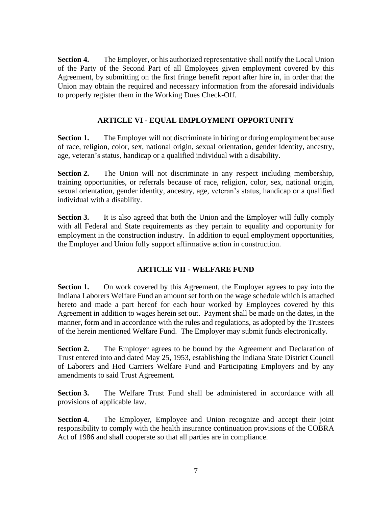**Section 4.** The Employer, or his authorized representative shall notify the Local Union of the Party of the Second Part of all Employees given employment covered by this Agreement, by submitting on the first fringe benefit report after hire in, in order that the Union may obtain the required and necessary information from the aforesaid individuals to properly register them in the Working Dues Check-Off.

# **ARTICLE VI - EQUAL EMPLOYMENT OPPORTUNITY**

<span id="page-9-0"></span>**Section 1.** The Employer will not discriminate in hiring or during employment because of race, religion, color, sex, national origin, sexual orientation, gender identity, ancestry, age, veteran's status, handicap or a qualified individual with a disability.

**Section 2.** The Union will not discriminate in any respect including membership, training opportunities, or referrals because of race, religion, color, sex, national origin, sexual orientation, gender identity, ancestry, age, veteran's status, handicap or a qualified individual with a disability.

**Section 3.** It is also agreed that both the Union and the Employer will fully comply with all Federal and State requirements as they pertain to equality and opportunity for employment in the construction industry. In addition to equal employment opportunities, the Employer and Union fully support affirmative action in construction.

# **ARTICLE VII - WELFARE FUND**

<span id="page-9-1"></span>**Section 1.** On work covered by this Agreement, the Employer agrees to pay into the Indiana Laborers Welfare Fund an amount set forth on the wage schedule which is attached hereto and made a part hereof for each hour worked by Employees covered by this Agreement in addition to wages herein set out. Payment shall be made on the dates, in the manner, form and in accordance with the rules and regulations, as adopted by the Trustees of the herein mentioned Welfare Fund. The Employer may submit funds electronically.

**Section 2.** The Employer agrees to be bound by the Agreement and Declaration of Trust entered into and dated May 25, 1953, establishing the Indiana State District Council of Laborers and Hod Carriers Welfare Fund and Participating Employers and by any amendments to said Trust Agreement.

**Section 3.** The Welfare Trust Fund shall be administered in accordance with all provisions of applicable law.

**Section 4.** The Employer, Employee and Union recognize and accept their joint responsibility to comply with the health insurance continuation provisions of the COBRA Act of 1986 and shall cooperate so that all parties are in compliance.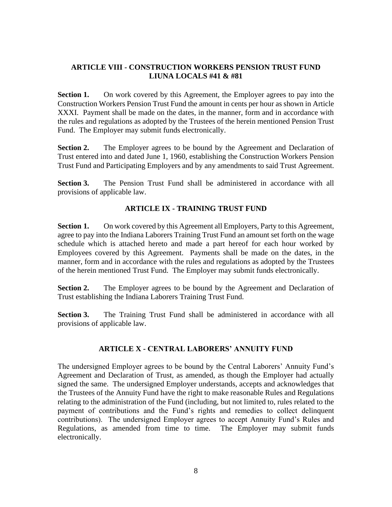# <span id="page-10-0"></span>**ARTICLE VIII - CONSTRUCTION WORKERS PENSION TRUST FUND LIUNA LOCALS #41 & #81**

**Section 1.** On work covered by this Agreement, the Employer agrees to pay into the Construction Workers Pension Trust Fund the amount in cents per hour as shown in Article XXXI. Payment shall be made on the dates, in the manner, form and in accordance with the rules and regulations as adopted by the Trustees of the herein mentioned Pension Trust Fund. The Employer may submit funds electronically.

**Section 2.** The Employer agrees to be bound by the Agreement and Declaration of Trust entered into and dated June 1, 1960, establishing the Construction Workers Pension Trust Fund and Participating Employers and by any amendments to said Trust Agreement.

<span id="page-10-1"></span>**Section 3.** The Pension Trust Fund shall be administered in accordance with all provisions of applicable law.

## **ARTICLE IX - TRAINING TRUST FUND**

**Section 1.** On work covered by this Agreement all Employers, Party to this Agreement, agree to pay into the Indiana Laborers Training Trust Fund an amount set forth on the wage schedule which is attached hereto and made a part hereof for each hour worked by Employees covered by this Agreement. Payments shall be made on the dates, in the manner, form and in accordance with the rules and regulations as adopted by the Trustees of the herein mentioned Trust Fund. The Employer may submit funds electronically.

**Section 2.** The Employer agrees to be bound by the Agreement and Declaration of Trust establishing the Indiana Laborers Training Trust Fund.

**Section 3.** The Training Trust Fund shall be administered in accordance with all provisions of applicable law.

# **ARTICLE X - CENTRAL LABORERS' ANNUITY FUND**

<span id="page-10-2"></span>The undersigned Employer agrees to be bound by the Central Laborers' Annuity Fund's Agreement and Declaration of Trust, as amended, as though the Employer had actually signed the same. The undersigned Employer understands, accepts and acknowledges that the Trustees of the Annuity Fund have the right to make reasonable Rules and Regulations relating to the administration of the Fund (including, but not limited to, rules related to the payment of contributions and the Fund's rights and remedies to collect delinquent contributions). The undersigned Employer agrees to accept Annuity Fund's Rules and Regulations, as amended from time to time. The Employer may submit funds electronically.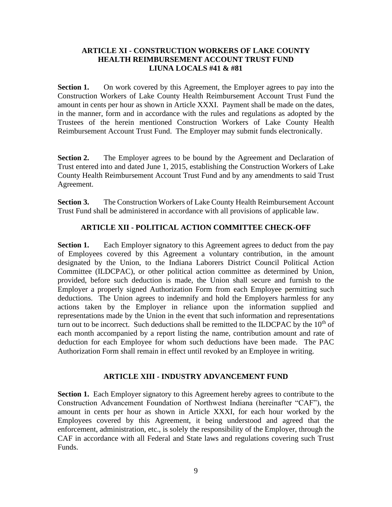## <span id="page-11-0"></span>**ARTICLE XI - CONSTRUCTION WORKERS OF LAKE COUNTY HEALTH REIMBURSEMENT ACCOUNT TRUST FUND LIUNA LOCALS #41 & #81**

**Section 1.** On work covered by this Agreement, the Employer agrees to pay into the Construction Workers of Lake County Health Reimbursement Account Trust Fund the amount in cents per hour as shown in Article XXXI. Payment shall be made on the dates, in the manner, form and in accordance with the rules and regulations as adopted by the Trustees of the herein mentioned Construction Workers of Lake County Health Reimbursement Account Trust Fund. The Employer may submit funds electronically.

**Section 2.** The Employer agrees to be bound by the Agreement and Declaration of Trust entered into and dated June 1, 2015, establishing the Construction Workers of Lake County Health Reimbursement Account Trust Fund and by any amendments to said Trust Agreement.

<span id="page-11-1"></span>**Section 3.** The Construction Workers of Lake County Health Reimbursement Account Trust Fund shall be administered in accordance with all provisions of applicable law.

# **ARTICLE XII - POLITICAL ACTION COMMITTEE CHECK-OFF**

**Section 1.** Each Employer signatory to this Agreement agrees to deduct from the pay of Employees covered by this Agreement a voluntary contribution, in the amount designated by the Union, to the Indiana Laborers District Council Political Action Committee (ILDCPAC), or other political action committee as determined by Union, provided, before such deduction is made, the Union shall secure and furnish to the Employer a properly signed Authorization Form from each Employee permitting such deductions. The Union agrees to indemnify and hold the Employers harmless for any actions taken by the Employer in reliance upon the information supplied and representations made by the Union in the event that such information and representations turn out to be incorrect. Such deductions shall be remitted to the ILDCPAC by the  $10<sup>th</sup>$  of each month accompanied by a report listing the name, contribution amount and rate of deduction for each Employee for whom such deductions have been made. The PAC Authorization Form shall remain in effect until revoked by an Employee in writing.

# **ARTICLE XIII - INDUSTRY ADVANCEMENT FUND**

<span id="page-11-2"></span>**Section 1.** Each Employer signatory to this Agreement hereby agrees to contribute to the Construction Advancement Foundation of Northwest Indiana (hereinafter "CAF"), the amount in cents per hour as shown in Article XXXI, for each hour worked by the Employees covered by this Agreement, it being understood and agreed that the enforcement, administration, etc., is solely the responsibility of the Employer, through the CAF in accordance with all Federal and State laws and regulations covering such Trust Funds.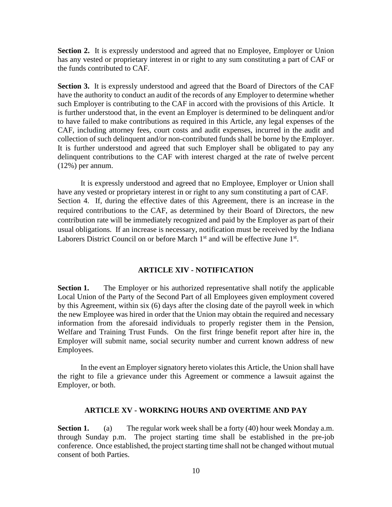**Section 2.** It is expressly understood and agreed that no Employee, Employer or Union has any vested or proprietary interest in or right to any sum constituting a part of CAF or the funds contributed to CAF.

**Section 3.** It is expressly understood and agreed that the Board of Directors of the CAF have the authority to conduct an audit of the records of any Employer to determine whether such Employer is contributing to the CAF in accord with the provisions of this Article. It is further understood that, in the event an Employer is determined to be delinquent and/or to have failed to make contributions as required in this Article, any legal expenses of the CAF, including attorney fees, court costs and audit expenses, incurred in the audit and collection of such delinquent and/or non-contributed funds shall be borne by the Employer. It is further understood and agreed that such Employer shall be obligated to pay any delinquent contributions to the CAF with interest charged at the rate of twelve percent (12%) per annum.

It is expressly understood and agreed that no Employee, Employer or Union shall have any vested or proprietary interest in or right to any sum constituting a part of CAF. Section 4. If, during the effective dates of this Agreement, there is an increase in the required contributions to the CAF, as determined by their Board of Directors, the new contribution rate will be immediately recognized and paid by the Employer as part of their usual obligations. If an increase is necessary, notification must be received by the Indiana Laborers District Council on or before March  $1<sup>st</sup>$  and will be effective June  $1<sup>st</sup>$ .

#### **ARTICLE XIV - NOTIFICATION**

<span id="page-12-0"></span>**Section 1.** The Employer or his authorized representative shall notify the applicable Local Union of the Party of the Second Part of all Employees given employment covered by this Agreement, within six (6) days after the closing date of the payroll week in which the new Employee was hired in order that the Union may obtain the required and necessary information from the aforesaid individuals to properly register them in the Pension, Welfare and Training Trust Funds. On the first fringe benefit report after hire in, the Employer will submit name, social security number and current known address of new Employees.

In the event an Employer signatory hereto violates this Article, the Union shall have the right to file a grievance under this Agreement or commence a lawsuit against the Employer, or both.

#### **ARTICLE XV - WORKING HOURS AND OVERTIME AND PAY**

<span id="page-12-1"></span>**Section 1.** (a) The regular work week shall be a forty (40) hour week Monday a.m. through Sunday p.m. The project starting time shall be established in the pre-job conference. Once established, the project starting time shall not be changed without mutual consent of both Parties.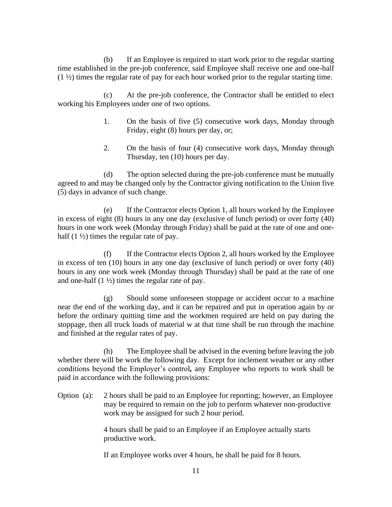(b) If an Employee is required to start work prior to the regular starting time established in the pre-job conference, said Employee shall receive one and one-half  $(1 \frac{1}{2})$  times the regular rate of pay for each hour worked prior to the regular starting time.

(c) At the pre-job conference, the Contractor shall be entitled to elect working his Employees under one of two options.

- 1. On the basis of five (5) consecutive work days, Monday through Friday, eight (8) hours per day, or;
- 2. On the basis of four (4) consecutive work days, Monday through Thursday, ten (10) hours per day.

(d) The option selected during the pre-job conference must be mutually agreed to and may be changed only by the Contractor giving notification to the Union five (5) days in advance of such change.

(e) If the Contractor elects Option 1, all hours worked by the Employee in excess of eight (8) hours in any one day (exclusive of lunch period) or over forty (40) hours in one work week (Monday through Friday) shall be paid at the rate of one and onehalf  $(1 \frac{1}{2})$  times the regular rate of pay.

(f) If the Contractor elects Option 2, all hours worked by the Employee in excess of ten (10) hours in any one day (exclusive of lunch period) or over forty (40) hours in any one work week (Monday through Thursday) shall be paid at the rate of one and one-half  $(1 \frac{1}{2})$  times the regular rate of pay.

(g) Should some unforeseen stoppage or accident occur to a machine near the end of the working day, and it can be repaired and put in operation again by or before the ordinary quitting time and the workmen required are held on pay during the stoppage, then all truck loads of material w at that time shall be run through the machine and finished at the regular rates of pay.

(h) The Employee shall be advised in the evening before leaving the job whether there will be work the following day. Except for inclement weather or any other conditions beyond the Employer's control*,* any Employee who reports to work shall be paid in accordance with the following provisions:

Option (a): 2 hours shall be paid to an Employee for reporting; however, an Employee may be required to remain on the job to perform whatever non-productive work may be assigned for such 2 hour period.

> 4 hours shall be paid to an Employee if an Employee actually starts productive work.

If an Employee works over 4 hours, he shall be paid for 8 hours.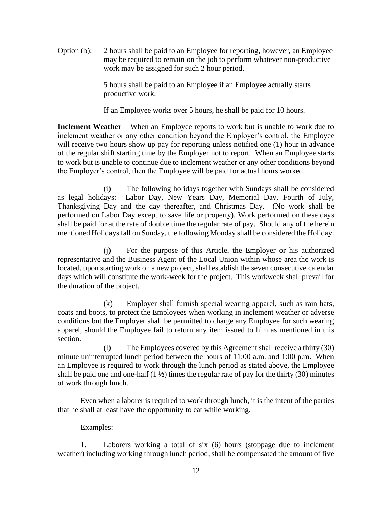Option (b): 2 hours shall be paid to an Employee for reporting, however, an Employee may be required to remain on the job to perform whatever non-productive work may be assigned for such 2 hour period.

> 5 hours shall be paid to an Employee if an Employee actually starts productive work.

If an Employee works over 5 hours, he shall be paid for 10 hours.

**Inclement Weather** – When an Employee reports to work but is unable to work due to inclement weather or any other condition beyond the Employer's control, the Employee will receive two hours show up pay for reporting unless notified one (1) hour in advance of the regular shift starting time by the Employer not to report. When an Employee starts to work but is unable to continue due to inclement weather or any other conditions beyond the Employer's control, then the Employee will be paid for actual hours worked.

(i) The following holidays together with Sundays shall be considered as legal holidays: Labor Day, New Years Day, Memorial Day, Fourth of July, Thanksgiving Day and the day thereafter, and Christmas Day. (No work shall be performed on Labor Day except to save life or property). Work performed on these days shall be paid for at the rate of double time the regular rate of pay. Should any of the herein mentioned Holidays fall on Sunday, the following Monday shall be considered the Holiday.

(j) For the purpose of this Article, the Employer or his authorized representative and the Business Agent of the Local Union within whose area the work is located, upon starting work on a new project, shall establish the seven consecutive calendar days which will constitute the work-week for the project. This workweek shall prevail for the duration of the project.

(k) Employer shall furnish special wearing apparel, such as rain hats, coats and boots, to protect the Employees when working in inclement weather or adverse conditions but the Employer shall be permitted to charge any Employee for such wearing apparel, should the Employee fail to return any item issued to him as mentioned in this section.

(l) The Employees covered by this Agreement shall receive a thirty (30) minute uninterrupted lunch period between the hours of 11:00 a.m. and 1:00 p.m. When an Employee is required to work through the lunch period as stated above, the Employee shall be paid one and one-half  $(1 \frac{1}{2})$  times the regular rate of pay for the thirty (30) minutes of work through lunch.

Even when a laborer is required to work through lunch, it is the intent of the parties that he shall at least have the opportunity to eat while working.

## Examples:

1. Laborers working a total of six (6) hours (stoppage due to inclement weather) including working through lunch period, shall be compensated the amount of five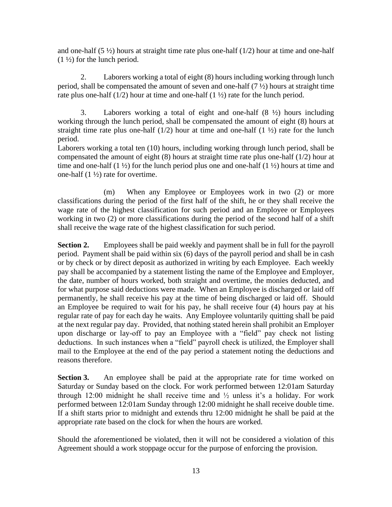and one-half  $(5 \frac{1}{2})$  hours at straight time rate plus one-half  $(1/2)$  hour at time and one-half  $(1 \frac{1}{2})$  for the lunch period.

2. Laborers working a total of eight (8) hours including working through lunch period, shall be compensated the amount of seven and one-half  $(7 \frac{1}{2})$  hours at straight time rate plus one-half  $(1/2)$  hour at time and one-half  $(1\frac{1}{2})$  rate for the lunch period.

3. Laborers working a total of eight and one-half (8 ½) hours including working through the lunch period, shall be compensated the amount of eight (8) hours at straight time rate plus one-half  $(1/2)$  hour at time and one-half  $(1 \frac{1}{2})$  rate for the lunch period.

Laborers working a total ten (10) hours, including working through lunch period, shall be compensated the amount of eight (8) hours at straight time rate plus one-half (1/2) hour at time and one-half  $(1 \frac{1}{2})$  for the lunch period plus one and one-half  $(1 \frac{1}{2})$  hours at time and one-half  $(1 \frac{1}{2})$  rate for overtime.

(m) When any Employee or Employees work in two (2) or more classifications during the period of the first half of the shift, he or they shall receive the wage rate of the highest classification for such period and an Employee or Employees working in two (2) or more classifications during the period of the second half of a shift shall receive the wage rate of the highest classification for such period.

**Section 2.** Employees shall be paid weekly and payment shall be in full for the payroll period. Payment shall be paid within six (6) days of the payroll period and shall be in cash or by check or by direct deposit as authorized in writing by each Employee. Each weekly pay shall be accompanied by a statement listing the name of the Employee and Employer, the date, number of hours worked, both straight and overtime, the monies deducted, and for what purpose said deductions were made. When an Employee is discharged or laid off permanently, he shall receive his pay at the time of being discharged or laid off. Should an Employee be required to wait for his pay, he shall receive four (4) hours pay at his regular rate of pay for each day he waits. Any Employee voluntarily quitting shall be paid at the next regular pay day. Provided, that nothing stated herein shall prohibit an Employer upon discharge or lay-off to pay an Employee with a "field" pay check not listing deductions. In such instances when a "field" payroll check is utilized, the Employer shall mail to the Employee at the end of the pay period a statement noting the deductions and reasons therefore.

**Section 3.** An employee shall be paid at the appropriate rate for time worked on Saturday or Sunday based on the clock. For work performed between 12:01am Saturday through 12:00 midnight he shall receive time and ½ unless it's a holiday. For work performed between 12:01am Sunday through 12:00 midnight he shall receive double time. If a shift starts prior to midnight and extends thru 12:00 midnight he shall be paid at the appropriate rate based on the clock for when the hours are worked.

Should the aforementioned be violated, then it will not be considered a violation of this Agreement should a work stoppage occur for the purpose of enforcing the provision.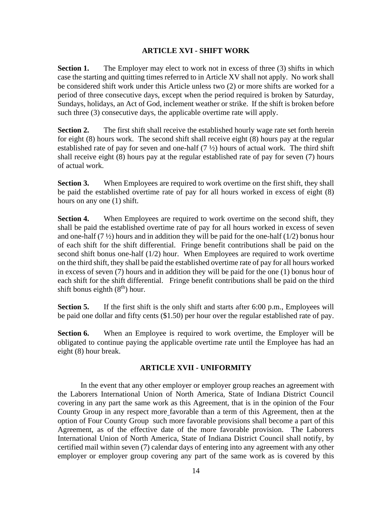## **ARTICLE XVI - SHIFT WORK**

<span id="page-16-0"></span>**Section 1.** The Employer may elect to work not in excess of three (3) shifts in which case the starting and quitting times referred to in Article XV shall not apply. No work shall be considered shift work under this Article unless two (2) or more shifts are worked for a period of three consecutive days, except when the period required is broken by Saturday, Sundays, holidays, an Act of God, inclement weather or strike. If the shift is broken before such three (3) consecutive days, the applicable overtime rate will apply.

**Section 2.** The first shift shall receive the established hourly wage rate set forth herein for eight (8) hours work. The second shift shall receive eight (8) hours pay at the regular established rate of pay for seven and one-half  $(7 \frac{1}{2})$  hours of actual work. The third shift shall receive eight (8) hours pay at the regular established rate of pay for seven (7) hours of actual work.

**Section 3.** When Employees are required to work overtime on the first shift, they shall be paid the established overtime rate of pay for all hours worked in excess of eight (8) hours on any one (1) shift.

**Section 4.** When Employees are required to work overtime on the second shift, they shall be paid the established overtime rate of pay for all hours worked in excess of seven and one-half  $(7 \frac{1}{2})$  hours and in addition they will be paid for the one-half  $(1/2)$  bonus hour of each shift for the shift differential. Fringe benefit contributions shall be paid on the second shift bonus one-half (1/2) hour. When Employees are required to work overtime on the third shift, they shall be paid the established overtime rate of pay for all hours worked in excess of seven (7) hours and in addition they will be paid for the one (1) bonus hour of each shift for the shift differential. Fringe benefit contributions shall be paid on the third shift bonus eighth  $(8<sup>th</sup>)$  hour.

**Section 5.** If the first shift is the only shift and starts after 6:00 p.m., Employees will be paid one dollar and fifty cents (\$1.50) per hour over the regular established rate of pay.

<span id="page-16-1"></span>**Section 6.** When an Employee is required to work overtime, the Employer will be obligated to continue paying the applicable overtime rate until the Employee has had an eight (8) hour break.

# **ARTICLE XVII - UNIFORMITY**

In the event that any other employer or employer group reaches an agreement with the Laborers International Union of North America, State of Indiana District Council covering in any part the same work as this Agreement, that is in the opinion of the Four County Group in any respect more favorable than a term of this Agreement, then at the option of Four County Group such more favorable provisions shall become a part of this Agreement, as of the effective date of the more favorable provision. The Laborers International Union of North America, State of Indiana District Council shall notify, by certified mail within seven (7) calendar days of entering into any agreement with any other employer or employer group covering any part of the same work as is covered by this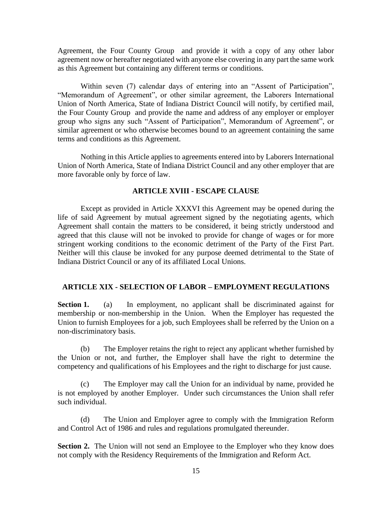Agreement, the Four County Group and provide it with a copy of any other labor agreement now or hereafter negotiated with anyone else covering in any part the same work as this Agreement but containing any different terms or conditions.

Within seven (7) calendar days of entering into an "Assent of Participation", "Memorandum of Agreement", or other similar agreement, the Laborers International Union of North America, State of Indiana District Council will notify, by certified mail, the Four County Group and provide the name and address of any employer or employer group who signs any such "Assent of Participation", Memorandum of Agreement", or similar agreement or who otherwise becomes bound to an agreement containing the same terms and conditions as this Agreement.

<span id="page-17-0"></span>Nothing in this Article applies to agreements entered into by Laborers International Union of North America, State of Indiana District Council and any other employer that are more favorable only by force of law.

### **ARTICLE XVIII - ESCAPE CLAUSE**

Except as provided in Article XXXVI this Agreement may be opened during the life of said Agreement by mutual agreement signed by the negotiating agents, which Agreement shall contain the matters to be considered, it being strictly understood and agreed that this clause will not be invoked to provide for change of wages or for more stringent working conditions to the economic detriment of the Party of the First Part. Neither will this clause be invoked for any purpose deemed detrimental to the State of Indiana District Council or any of its affiliated Local Unions.

## <span id="page-17-1"></span>**ARTICLE XIX - SELECTION OF LABOR – EMPLOYMENT REGULATIONS**

**Section 1.** (a) In employment, no applicant shall be discriminated against for membership or non-membership in the Union. When the Employer has requested the Union to furnish Employees for a job, such Employees shall be referred by the Union on a non-discriminatory basis.

(b) The Employer retains the right to reject any applicant whether furnished by the Union or not, and further, the Employer shall have the right to determine the competency and qualifications of his Employees and the right to discharge for just cause.

(c) The Employer may call the Union for an individual by name, provided he is not employed by another Employer. Under such circumstances the Union shall refer such individual.

(d) The Union and Employer agree to comply with the Immigration Reform and Control Act of 1986 and rules and regulations promulgated thereunder.

**Section 2.** The Union will not send an Employee to the Employer who they know does not comply with the Residency Requirements of the Immigration and Reform Act.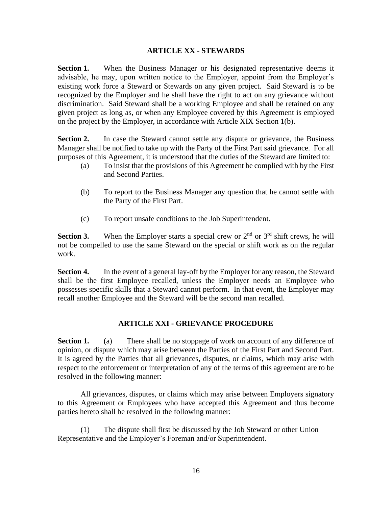## **ARTICLE XX - STEWARDS**

<span id="page-18-0"></span>**Section 1.** When the Business Manager or his designated representative deems it advisable, he may, upon written notice to the Employer, appoint from the Employer's existing work force a Steward or Stewards on any given project. Said Steward is to be recognized by the Employer and he shall have the right to act on any grievance without discrimination. Said Steward shall be a working Employee and shall be retained on any given project as long as, or when any Employee covered by this Agreement is employed on the project by the Employer, in accordance with Article XIX Section 1(b).

**Section 2.** In case the Steward cannot settle any dispute or grievance, the Business Manager shall be notified to take up with the Party of the First Part said grievance. For all purposes of this Agreement, it is understood that the duties of the Steward are limited to:

- (a) To insist that the provisions of this Agreement be complied with by the First and Second Parties.
- (b) To report to the Business Manager any question that he cannot settle with the Party of the First Part.
- (c) To report unsafe conditions to the Job Superintendent.

**Section 3.** When the Employer starts a special crew or  $2<sup>nd</sup>$  or  $3<sup>rd</sup>$  shift crews, he will not be compelled to use the same Steward on the special or shift work as on the regular work.

**Section 4.** In the event of a general lay-off by the Employer for any reason, the Steward shall be the first Employee recalled, unless the Employer needs an Employee who possesses specific skills that a Steward cannot perform. In that event, the Employer may recall another Employee and the Steward will be the second man recalled.

# **ARTICLE XXI - GRIEVANCE PROCEDURE**

<span id="page-18-1"></span>**Section 1.** (a) There shall be no stoppage of work on account of any difference of opinion, or dispute which may arise between the Parties of the First Part and Second Part. It is agreed by the Parties that all grievances, disputes, or claims, which may arise with respect to the enforcement or interpretation of any of the terms of this agreement are to be resolved in the following manner:

All grievances, disputes, or claims which may arise between Employers signatory to this Agreement or Employees who have accepted this Agreement and thus become parties hereto shall be resolved in the following manner:

(1) The dispute shall first be discussed by the Job Steward or other Union Representative and the Employer's Foreman and/or Superintendent.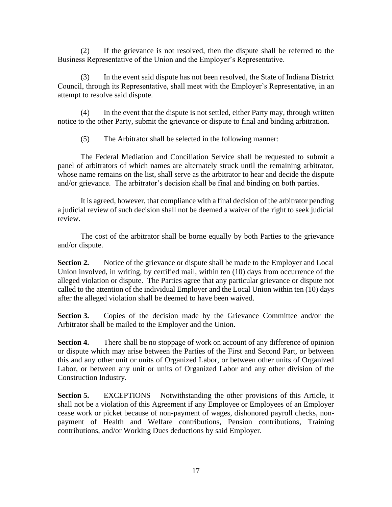(2) If the grievance is not resolved, then the dispute shall be referred to the Business Representative of the Union and the Employer's Representative.

(3) In the event said dispute has not been resolved, the State of Indiana District Council, through its Representative, shall meet with the Employer's Representative, in an attempt to resolve said dispute.

(4) In the event that the dispute is not settled, either Party may, through written notice to the other Party, submit the grievance or dispute to final and binding arbitration.

(5) The Arbitrator shall be selected in the following manner:

The Federal Mediation and Conciliation Service shall be requested to submit a panel of arbitrators of which names are alternately struck until the remaining arbitrator, whose name remains on the list, shall serve as the arbitrator to hear and decide the dispute and/or grievance. The arbitrator's decision shall be final and binding on both parties.

It is agreed, however, that compliance with a final decision of the arbitrator pending a judicial review of such decision shall not be deemed a waiver of the right to seek judicial review.

The cost of the arbitrator shall be borne equally by both Parties to the grievance and/or dispute.

**Section 2.** Notice of the grievance or dispute shall be made to the Employer and Local Union involved, in writing, by certified mail, within ten (10) days from occurrence of the alleged violation or dispute. The Parties agree that any particular grievance or dispute not called to the attention of the individual Employer and the Local Union within ten (10) days after the alleged violation shall be deemed to have been waived.

**Section 3.** Copies of the decision made by the Grievance Committee and/or the Arbitrator shall be mailed to the Employer and the Union.

**Section 4.** There shall be no stoppage of work on account of any difference of opinion or dispute which may arise between the Parties of the First and Second Part, or between this and any other unit or units of Organized Labor, or between other units of Organized Labor, or between any unit or units of Organized Labor and any other division of the Construction Industry.

**Section 5.** EXCEPTIONS – Notwithstanding the other provisions of this Article, it shall not be a violation of this Agreement if any Employee or Employees of an Employer cease work or picket because of non-payment of wages, dishonored payroll checks, nonpayment of Health and Welfare contributions, Pension contributions, Training contributions, and/or Working Dues deductions by said Employer.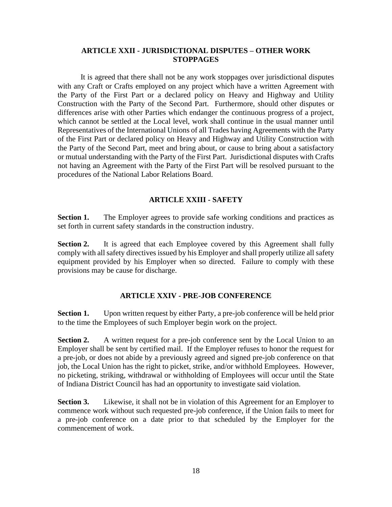### <span id="page-20-0"></span>**ARTICLE XXII - JURISDICTIONAL DISPUTES – OTHER WORK STOPPAGES**

It is agreed that there shall not be any work stoppages over jurisdictional disputes with any Craft or Crafts employed on any project which have a written Agreement with the Party of the First Part or a declared policy on Heavy and Highway and Utility Construction with the Party of the Second Part. Furthermore, should other disputes or differences arise with other Parties which endanger the continuous progress of a project, which cannot be settled at the Local level, work shall continue in the usual manner until Representatives of the International Unions of all Trades having Agreements with the Party of the First Part or declared policy on Heavy and Highway and Utility Construction with the Party of the Second Part, meet and bring about, or cause to bring about a satisfactory or mutual understanding with the Party of the First Part. Jurisdictional disputes with Crafts not having an Agreement with the Party of the First Part will be resolved pursuant to the procedures of the National Labor Relations Board.

### **ARTICLE XXIII - SAFETY**

<span id="page-20-1"></span>**Section 1.** The Employer agrees to provide safe working conditions and practices as set forth in current safety standards in the construction industry.

**Section 2.** It is agreed that each Employee covered by this Agreement shall fully comply with all safety directives issued by his Employer and shall properly utilize all safety equipment provided by his Employer when so directed. Failure to comply with these provisions may be cause for discharge.

#### **ARTICLE XXIV - PRE-JOB CONFERENCE**

<span id="page-20-2"></span>**Section 1.** Upon written request by either Party, a pre-job conference will be held prior to the time the Employees of such Employer begin work on the project.

**Section 2.** A written request for a pre-job conference sent by the Local Union to an Employer shall be sent by certified mail. If the Employer refuses to honor the request for a pre-job, or does not abide by a previously agreed and signed pre-job conference on that job, the Local Union has the right to picket, strike, and/or withhold Employees. However, no picketing, striking, withdrawal or withholding of Employees will occur until the State of Indiana District Council has had an opportunity to investigate said violation.

**Section 3.** Likewise, it shall not be in violation of this Agreement for an Employer to commence work without such requested pre-job conference, if the Union fails to meet for a pre-job conference on a date prior to that scheduled by the Employer for the commencement of work.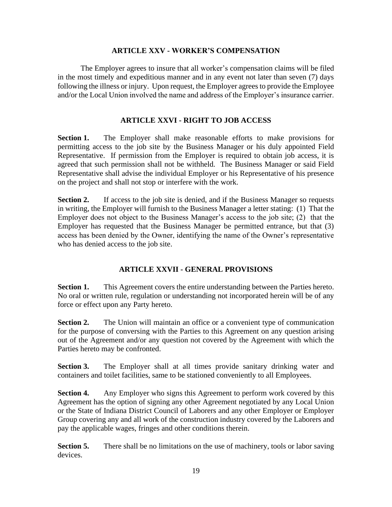### **ARTICLE XXV - WORKER'S COMPENSATION**

<span id="page-21-0"></span>The Employer agrees to insure that all worker's compensation claims will be filed in the most timely and expeditious manner and in any event not later than seven (7) days following the illness or injury. Upon request, the Employer agrees to provide the Employee and/or the Local Union involved the name and address of the Employer's insurance carrier.

# **ARTICLE XXVI - RIGHT TO JOB ACCESS**

<span id="page-21-1"></span>**Section 1.** The Employer shall make reasonable efforts to make provisions for permitting access to the job site by the Business Manager or his duly appointed Field Representative. If permission from the Employer is required to obtain job access, it is agreed that such permission shall not be withheld. The Business Manager or said Field Representative shall advise the individual Employer or his Representative of his presence on the project and shall not stop or interfere with the work.

**Section 2.** If access to the job site is denied, and if the Business Manager so requests in writing, the Employer will furnish to the Business Manager a letter stating: (1) That the Employer does not object to the Business Manager's access to the job site; (2) that the Employer has requested that the Business Manager be permitted entrance, but that (3) access has been denied by the Owner, identifying the name of the Owner's representative who has denied access to the job site.

# **ARTICLE XXVII - GENERAL PROVISIONS**

<span id="page-21-2"></span>**Section 1.** This Agreement covers the entire understanding between the Parties hereto. No oral or written rule, regulation or understanding not incorporated herein will be of any force or effect upon any Party hereto.

**Section 2.** The Union will maintain an office or a convenient type of communication for the purpose of conversing with the Parties to this Agreement on any question arising out of the Agreement and/or any question not covered by the Agreement with which the Parties hereto may be confronted.

**Section 3.** The Employer shall at all times provide sanitary drinking water and containers and toilet facilities, same to be stationed conveniently to all Employees.

**Section 4.** Any Employer who signs this Agreement to perform work covered by this Agreement has the option of signing any other Agreement negotiated by any Local Union or the State of Indiana District Council of Laborers and any other Employer or Employer Group covering any and all work of the construction industry covered by the Laborers and pay the applicable wages, fringes and other conditions therein.

**Section 5.** There shall be no limitations on the use of machinery, tools or labor saving devices.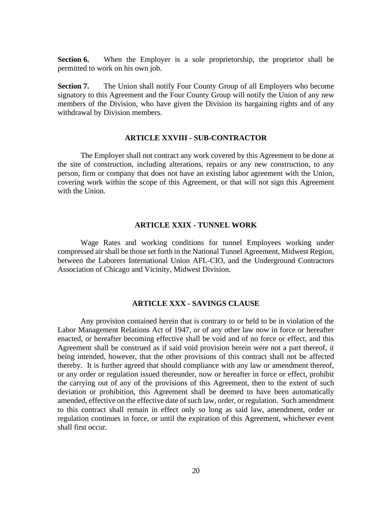**Section 6.** When the Employer is a sole proprietorship, the proprietor shall be permitted to work on his own job.

**Section 7.** The Union shall notify Four County Group of all Employers who become signatory to this Agreement and the Four County Group will notify the Union of any new members of the Division, who have given the Division its bargaining rights and of any withdrawal by Division members.

#### **ARTICLE XXVIII - SUB-CONTRACTOR**

<span id="page-22-0"></span>The Employer shall not contract any work covered by this Agreement to be done at the site of construction, including alterations, repairs or any new construction, to any person, firm or company that does not have an existing labor agreement with the Union, covering work within the scope of this Agreement, or that will not sign this Agreement with the Union.

#### **ARTICLE XXIX - TUNNEL WORK**

<span id="page-22-1"></span>Wage Rates and working conditions for tunnel Employees working under compressed air shall be those set forth in the National Tunnel Agreement, Midwest Region, between the Laborers International Union AFL-CIO, and the Underground Contractors Association of Chicago and Vicinity, Midwest Division.

#### **ARTICLE XXX - SAVINGS CLAUSE**

<span id="page-22-2"></span>Any provision contained herein that is contrary to or held to be in violation of the Labor Management Relations Act of 1947, or of any other law now in force or hereafter enacted, or hereafter becoming effective shall be void and of no force or effect, and this Agreement shall be construed as if said void provision herein were not a part thereof, it being intended, however, that the other provisions of this contract shall not be affected thereby. It is further agreed that should compliance with any law or amendment thereof, or any order or regulation issued thereunder, now or hereafter in force or effect, prohibit the carrying out of any of the provisions of this Agreement, then to the extent of such deviation or prohibition, this Agreement shall be deemed to have been automatically amended, effective on the effective date of such law, order, or regulation. Such amendment to this contract shall remain in effect only so long as said law, amendment, order or regulation continues in force, or until the expiration of this Agreement, whichever event shall first occur.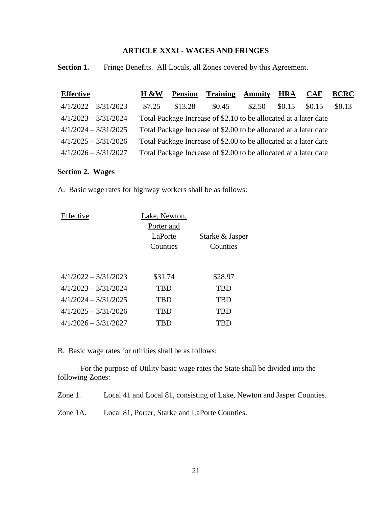# **ARTICLE XXXI - WAGES AND FRINGES**

<span id="page-23-0"></span>**Section 1.** Fringe Benefits. All Locals, all Zones covered by this Agreement.

| <b>Effective</b>       | H &W   | <b>Pension</b> | <b>Training</b>                                                  | <b>Annuity</b> | <b>HRA</b> | <b>CAF</b> | <b>BCRC</b> |
|------------------------|--------|----------------|------------------------------------------------------------------|----------------|------------|------------|-------------|
| $4/1/2022 - 3/31/2023$ | \$7.25 | \$13.28        | \$0.45                                                           | \$2.50         | \$0.15     | \$0.15     | \$0.13      |
| $4/1/2023 - 3/31/2024$ |        |                | Total Package Increase of \$2.10 to be allocated at a later date |                |            |            |             |
| $4/1/2024 - 3/31/2025$ |        |                | Total Package Increase of \$2.00 to be allocated at a later date |                |            |            |             |
| $4/1/2025 - 3/31/2026$ |        |                | Total Package Increase of \$2.00 to be allocated at a later date |                |            |            |             |
| $4/1/2026 - 3/31/2027$ |        |                | Total Package Increase of \$2.00 to be allocated at a later date |                |            |            |             |

## **Section 2. Wages**

A. Basic wage rates for highway workers shall be as follows:

| Lake, Newton, |                 |  |
|---------------|-----------------|--|
| Porter and    |                 |  |
| LaPorte       | Starke & Jasper |  |
| Counties      | Counties        |  |
|               |                 |  |
|               |                 |  |
| \$31.74       | \$28.97         |  |
| TBD           | TBD             |  |
| TBD           | TBD             |  |
| TBD           | TBD             |  |
| TBD           | TBD             |  |
|               |                 |  |

B. Basic wage rates for utilities shall be as follows:

For the purpose of Utility basic wage rates the State shall be divided into the following Zones:

Zone 1. Local 41 and Local 81, consisting of Lake, Newton and Jasper Counties.

Zone 1A. Local 81, Porter, Starke and LaPorte Counties.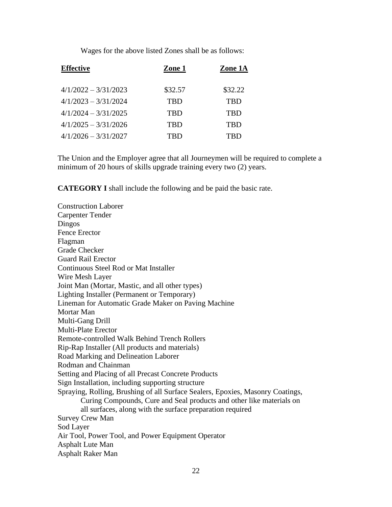Wages for the above listed Zones shall be as follows:

| <b>Effective</b>       | Zone 1     | Zone 1A    |  |
|------------------------|------------|------------|--|
| $4/1/2022 - 3/31/2023$ | \$32.57    | \$32.22    |  |
| $4/1/2023 - 3/31/2024$ | TRD        | <b>TRD</b> |  |
| $4/1/2024 - 3/31/2025$ | <b>TBD</b> | <b>TBD</b> |  |
| $4/1/2025 - 3/31/2026$ | <b>TBD</b> | TBD        |  |
| $4/1/2026 - 3/31/2027$ | TRD        | TRD        |  |

The Union and the Employer agree that all Journeymen will be required to complete a minimum of 20 hours of skills upgrade training every two (2) years.

**CATEGORY I** shall include the following and be paid the basic rate.

Construction Laborer Carpenter Tender Dingos Fence Erector Flagman Grade Checker Guard Rail Erector Continuous Steel Rod or Mat Installer Wire Mesh Layer Joint Man (Mortar, Mastic, and all other types) Lighting Installer (Permanent or Temporary) Lineman for Automatic Grade Maker on Paving Machine Mortar Man Multi-Gang Drill Multi-Plate Erector Remote-controlled Walk Behind Trench Rollers Rip-Rap Installer (All products and materials) Road Marking and Delineation Laborer Rodman and Chainman Setting and Placing of all Precast Concrete Products Sign Installation, including supporting structure Spraying, Rolling, Brushing of all Surface Sealers, Epoxies, Masonry Coatings, Curing Compounds, Cure and Seal products and other like materials on all surfaces, along with the surface preparation required Survey Crew Man Sod Layer Air Tool, Power Tool, and Power Equipment Operator Asphalt Lute Man Asphalt Raker Man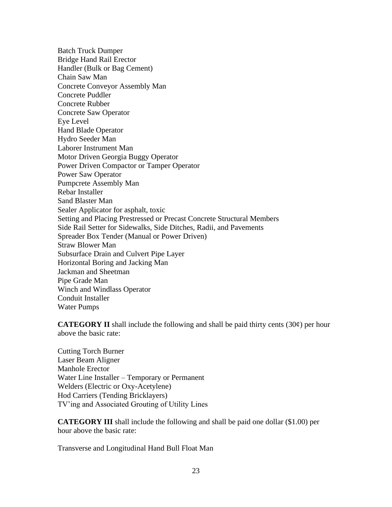Batch Truck Dumper Bridge Hand Rail Erector Handler (Bulk or Bag Cement) Chain Saw Man Concrete Conveyor Assembly Man Concrete Puddler Concrete Rubber Concrete Saw Operator Eye Level Hand Blade Operator Hydro Seeder Man Laborer Instrument Man Motor Driven Georgia Buggy Operator Power Driven Compactor or Tamper Operator Power Saw Operator Pumpcrete Assembly Man Rebar Installer Sand Blaster Man Sealer Applicator for asphalt, toxic Setting and Placing Prestressed or Precast Concrete Structural Members Side Rail Setter for Sidewalks, Side Ditches, Radii, and Pavements Spreader Box Tender (Manual or Power Driven) Straw Blower Man Subsurface Drain and Culvert Pipe Layer Horizontal Boring and Jacking Man Jackman and Sheetman Pipe Grade Man Winch and Windlass Operator Conduit Installer Water Pumps

**CATEGORY II** shall include the following and shall be paid thirty cents  $(30¢)$  per hour above the basic rate:

Cutting Torch Burner Laser Beam Aligner Manhole Erector Water Line Installer – Temporary or Permanent Welders (Electric or Oxy-Acetylene) Hod Carriers (Tending Bricklayers) TV'ing and Associated Grouting of Utility Lines

**CATEGORY III** shall include the following and shall be paid one dollar (\$1.00) per hour above the basic rate:

Transverse and Longitudinal Hand Bull Float Man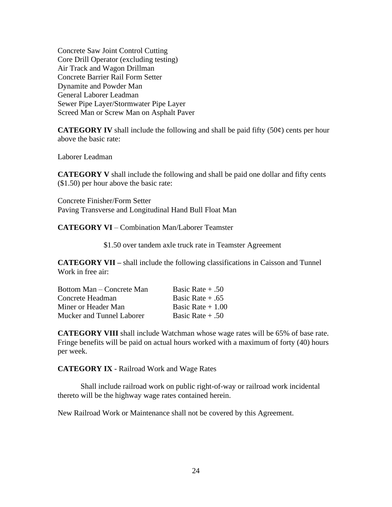Concrete Saw Joint Control Cutting Core Drill Operator (excluding testing) Air Track and Wagon Drillman Concrete Barrier Rail Form Setter Dynamite and Powder Man General Laborer Leadman Sewer Pipe Layer/Stormwater Pipe Layer Screed Man or Screw Man on Asphalt Paver

**CATEGORY IV** shall include the following and shall be paid fifty  $(50¢)$  cents per hour above the basic rate:

Laborer Leadman

**CATEGORY V** shall include the following and shall be paid one dollar and fifty cents (\$1.50) per hour above the basic rate:

Concrete Finisher/Form Setter Paving Transverse and Longitudinal Hand Bull Float Man

**CATEGORY VI** – Combination Man/Laborer Teamster

\$1.50 over tandem axle truck rate in Teamster Agreement

**CATEGORY VII –** shall include the following classifications in Caisson and Tunnel Work in free air:

| Bottom Man – Concrete Man | Basic Rate $+ .50$ |
|---------------------------|--------------------|
| Concrete Headman          | Basic Rate $+ .65$ |
| Miner or Header Man       | Basic Rate $+1.00$ |
| Mucker and Tunnel Laborer | Basic Rate $+ .50$ |

**CATEGORY VIII** shall include Watchman whose wage rates will be 65% of base rate. Fringe benefits will be paid on actual hours worked with a maximum of forty (40) hours per week.

**CATEGORY IX** - Railroad Work and Wage Rates

Shall include railroad work on public right-of-way or railroad work incidental thereto will be the highway wage rates contained herein.

New Railroad Work or Maintenance shall not be covered by this Agreement.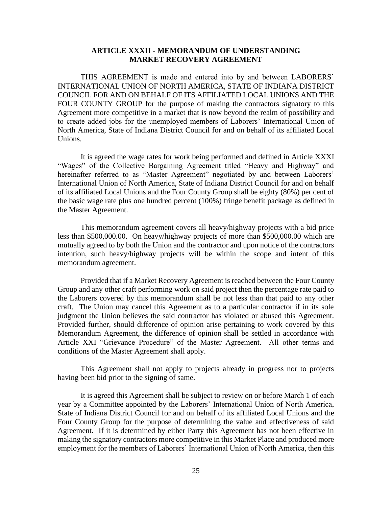### **ARTICLE XXXII - MEMORANDUM OF UNDERSTANDING MARKET RECOVERY AGREEMENT**

<span id="page-27-0"></span>THIS AGREEMENT is made and entered into by and between LABORERS' INTERNATIONAL UNION OF NORTH AMERICA, STATE OF INDIANA DISTRICT COUNCIL FOR AND ON BEHALF OF ITS AFFILIATED LOCAL UNIONS AND THE FOUR COUNTY GROUP for the purpose of making the contractors signatory to this Agreement more competitive in a market that is now beyond the realm of possibility and to create added jobs for the unemployed members of Laborers' International Union of North America, State of Indiana District Council for and on behalf of its affiliated Local Unions.

It is agreed the wage rates for work being performed and defined in Article XXXI "Wages" of the Collective Bargaining Agreement titled "Heavy and Highway" and hereinafter referred to as "Master Agreement" negotiated by and between Laborers' International Union of North America, State of Indiana District Council for and on behalf of its affiliated Local Unions and the Four County Group shall be eighty (80%) per cent of the basic wage rate plus one hundred percent (100%) fringe benefit package as defined in the Master Agreement.

This memorandum agreement covers all heavy/highway projects with a bid price less than \$500,000.00. On heavy/highway projects of more than \$500,000.00 which are mutually agreed to by both the Union and the contractor and upon notice of the contractors intention, such heavy/highway projects will be within the scope and intent of this memorandum agreement.

Provided that if a Market Recovery Agreement is reached between the Four County Group and any other craft performing work on said project then the percentage rate paid to the Laborers covered by this memorandum shall be not less than that paid to any other craft. The Union may cancel this Agreement as to a particular contractor if in its sole judgment the Union believes the said contractor has violated or abused this Agreement. Provided further, should difference of opinion arise pertaining to work covered by this Memorandum Agreement, the difference of opinion shall be settled in accordance with Article XXI "Grievance Procedure" of the Master Agreement. All other terms and conditions of the Master Agreement shall apply.

This Agreement shall not apply to projects already in progress nor to projects having been bid prior to the signing of same.

It is agreed this Agreement shall be subject to review on or before March 1 of each year by a Committee appointed by the Laborers' International Union of North America, State of Indiana District Council for and on behalf of its affiliated Local Unions and the Four County Group for the purpose of determining the value and effectiveness of said Agreement. If it is determined by either Party this Agreement has not been effective in making the signatory contractors more competitive in this Market Place and produced more employment for the members of Laborers' International Union of North America, then this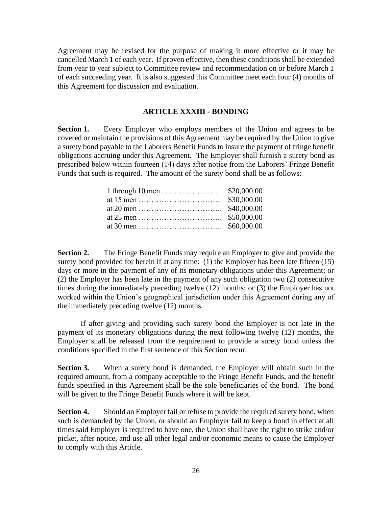Agreement may be revised for the purpose of making it more effective or it may be cancelled March 1 of each year. If proven effective, then these conditions shall be extended from year to year subject to Committee review and recommendation on or before March 1 of each succeeding year. It is also suggested this Committee meet each four (4) months of this Agreement for discussion and evaluation.

#### **ARTICLE XXXIII - BONDING**

<span id="page-28-0"></span>**Section 1.** Every Employer who employs members of the Union and agrees to be covered or maintain the provisions of this Agreement may be required by the Union to give a surety bond payable to the Laborers Benefit Funds to insure the payment of fringe benefit obligations accruing under this Agreement. The Employer shall furnish a surety bond as prescribed below within fourteen (14) days after notice from the Laborers' Fringe Benefit Funds that such is required. The amount of the surety bond shall be as follows:

**Section 2.** The Fringe Benefit Funds may require an Employer to give and provide the surety bond provided for herein if at any time: (1) the Employer has been late fifteen (15) days or more in the payment of any of its monetary obligations under this Agreement; or (2) the Employer has been late in the payment of any such obligation two (2) consecutive times during the immediately preceding twelve (12) months; or (3) the Employer has not worked within the Union's geographical jurisdiction under this Agreement during any of the immediately preceding twelve (12) months.

If after giving and providing such surety bond the Employer is not late in the payment of its monetary obligations during the next following twelve (12) months, the Employer shall be released from the requirement to provide a surety bond unless the conditions specified in the first sentence of this Section recur.

**Section 3.** When a surety bond is demanded, the Employer will obtain such in the required amount, from a company acceptable to the Fringe Benefit Funds, and the benefit funds specified in this Agreement shall be the sole beneficiaries of the bond. The bond will be given to the Fringe Benefit Funds where it will be kept.

**Section 4.** Should an Employer fail or refuse to provide the required surety bond, when such is demanded by the Union, or should an Employer fail to keep a bond in effect at all times said Employer is required to have one, the Union shall have the right to strike and/or picket, after notice, and use all other legal and/or economic means to cause the Employer to comply with this Article.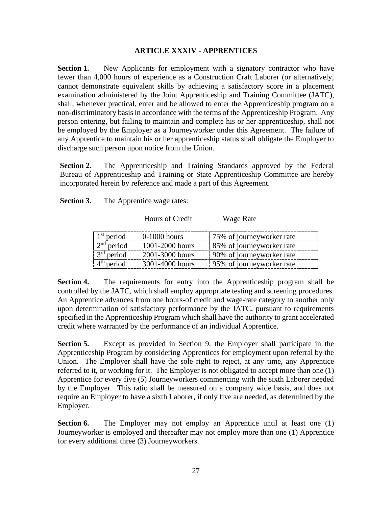## **ARTICLE XXXIV - APPRENTICES**

<span id="page-29-0"></span>**Section 1.** New Applicants for employment with a signatory contractor who have fewer than 4,000 hours of experience as a Construction Craft Laborer (or alternatively, cannot demonstrate equivalent skills by achieving a satisfactory score in a placement examination administered by the Joint Apprenticeship and Training Committee (JATC), shall, whenever practical, enter and be allowed to enter the Apprenticeship program on a non-discriminatory basis in accordance with the terms of the Apprenticeship Program. Any person entering, but failing to maintain and complete his or her apprenticeship, shall not be employed by the Employer as a Journeyworker under this Agreement. The failure of any Apprentice to maintain his or her apprenticeship status shall obligate the Employer to discharge such person upon notice from the Union.

**Section 2.** The Apprenticeship and Training Standards approved by the Federal Bureau of Apprenticeship and Training or State Apprenticeship Committee are hereby incorporated herein by reference and made a part of this Agreement.

**Section 3.** The Apprentice wage rates:

Hours of Credit Wage Rate

| $1st$ period | $0-1000$ hours  | 175% of journeyworker rate |
|--------------|-----------------|----------------------------|
| $2nd$ period | 1001-2000 hours | 85% of journeyworker rate  |
| $3rd$ period | 2001-3000 hours | 90% of journeyworker rate  |
| $4th$ period | 3001-4000 hours | 95% of journeyworker rate  |

**Section 4.** The requirements for entry into the Apprenticeship program shall be controlled by the JATC, which shall employ appropriate testing and screening procedures. An Apprentice advances from one hours-of credit and wage-rate category to another only upon determination of satisfactory performance by the JATC, pursuant to requirements specified in the Apprenticeship Program which shall have the authority to grant accelerated credit where warranted by the performance of an individual Apprentice.

**Section 5.** Except as provided in Section 9, the Employer shall participate in the Apprenticeship Program by considering Apprentices for employment upon referral by the Union. The Employer shall have the sole right to reject, at any time, any Apprentice referred to it, or working for it. The Employer is not obligated to accept more than one (1) Apprentice for every five (5) Journeyworkers commencing with the sixth Laborer needed by the Employer. This ratio shall be measured on a company wide basis, and does not require an Employer to have a sixth Laborer, if only five are needed, as determined by the Employer.

**Section 6.** The Employer may not employ an Apprentice until at least one (1) Journeyworker is employed and thereafter may not employ more than one (1) Apprentice for every additional three (3) Journeyworkers.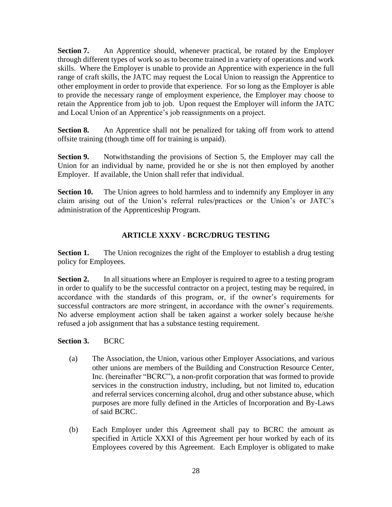**Section 7.** An Apprentice should, whenever practical, be rotated by the Employer through different types of work so as to become trained in a variety of operations and work skills. Where the Employer is unable to provide an Apprentice with experience in the full range of craft skills, the JATC may request the Local Union to reassign the Apprentice to other employment in order to provide that experience. For so long as the Employer is able to provide the necessary range of employment experience, the Employer may choose to retain the Apprentice from job to job. Upon request the Employer will inform the JATC and Local Union of an Apprentice's job reassignments on a project.

**Section 8.** An Apprentice shall not be penalized for taking off from work to attend offsite training (though time off for training is unpaid).

**Section 9.** Notwithstanding the provisions of Section 5, the Employer may call the Union for an individual by name, provided he or she is not then employed by another Employer. If available, the Union shall refer that individual.

**Section 10.** The Union agrees to hold harmless and to indemnify any Employer in any claim arising out of the Union's referral rules/practices or the Union's or JATC's administration of the Apprenticeship Program.

# **ARTICLE XXXV - BCRC/DRUG TESTING**

<span id="page-30-0"></span>**Section 1.** The Union recognizes the right of the Employer to establish a drug testing policy for Employees.

**Section 2.** In all situations where an Employer is required to agree to a testing program in order to qualify to be the successful contractor on a project, testing may be required, in accordance with the standards of this program, or, if the owner's requirements for successful contractors are more stringent, in accordance with the owner's requirements. No adverse employment action shall be taken against a worker solely because he/she refused a job assignment that has a substance testing requirement.

## **Section 3.** BCRC

- (a) The Association, the Union, various other Employer Associations, and various other unions are members of the Building and Construction Resource Center, Inc. (hereinafter "BCRC"), a non-profit corporation that was formed to provide services in the construction industry, including, but not limited to, education and referral services concerning alcohol, drug and other substance abuse, which purposes are more fully defined in the Articles of Incorporation and By-Laws of said BCRC.
- (b) Each Employer under this Agreement shall pay to BCRC the amount as specified in Article XXXI of this Agreement per hour worked by each of its Employees covered by this Agreement. Each Employer is obligated to make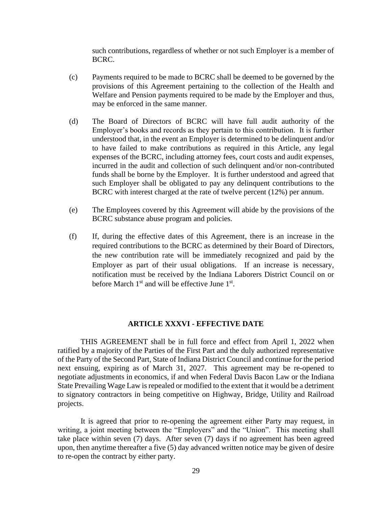such contributions, regardless of whether or not such Employer is a member of BCRC.

- (c) Payments required to be made to BCRC shall be deemed to be governed by the provisions of this Agreement pertaining to the collection of the Health and Welfare and Pension payments required to be made by the Employer and thus, may be enforced in the same manner.
- (d) The Board of Directors of BCRC will have full audit authority of the Employer's books and records as they pertain to this contribution. It is further understood that, in the event an Employer is determined to be delinquent and/or to have failed to make contributions as required in this Article, any legal expenses of the BCRC, including attorney fees, court costs and audit expenses, incurred in the audit and collection of such delinquent and/or non-contributed funds shall be borne by the Employer. It is further understood and agreed that such Employer shall be obligated to pay any delinquent contributions to the BCRC with interest charged at the rate of twelve percent (12%) per annum.
- (e) The Employees covered by this Agreement will abide by the provisions of the BCRC substance abuse program and policies.
- (f) If, during the effective dates of this Agreement, there is an increase in the required contributions to the BCRC as determined by their Board of Directors, the new contribution rate will be immediately recognized and paid by the Employer as part of their usual obligations. If an increase is necessary, notification must be received by the Indiana Laborers District Council on or before March  $1<sup>st</sup>$  and will be effective June  $1<sup>st</sup>$ .

## **ARTICLE XXXVI - EFFECTIVE DATE**

<span id="page-31-0"></span>THIS AGREEMENT shall be in full force and effect from April 1, 2022 when ratified by a majority of the Parties of the First Part and the duly authorized representative of the Party of the Second Part, State of Indiana District Council and continue for the period next ensuing, expiring as of March 31, 2027. This agreement may be re-opened to negotiate adjustments in economics, if and when Federal Davis Bacon Law or the Indiana State Prevailing Wage Law is repealed or modified to the extent that it would be a detriment to signatory contractors in being competitive on Highway, Bridge, Utility and Railroad projects.

It is agreed that prior to re-opening the agreement either Party may request, in writing, a joint meeting between the "Employers" and the "Union". This meeting shall take place within seven (7) days. After seven (7) days if no agreement has been agreed upon, then anytime thereafter a five (5) day advanced written notice may be given of desire to re-open the contract by either party.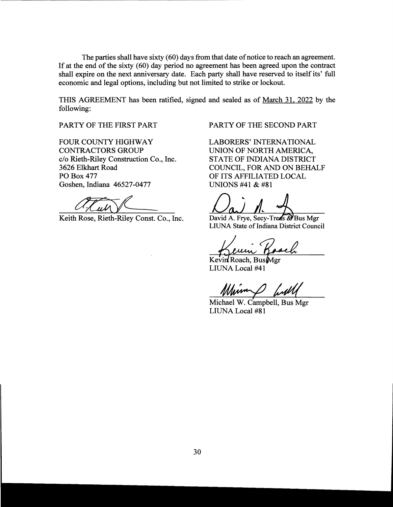The parties shall have sixty (60) days from that date of notice to reach an agreement. If at the end of the sixty (60) day period no agreement has been agreed upon the contract shall expire on the next anniversary date. Each party shall have reserved to itself its' full economic and legal options, including but not limited to strike or lockout.

THIS AGREEMENT has been ratified, signed and sealed as of March 31, 2022 by the following:

FOUR COUNTY HIGHWAY LABORERS' INTERNATIONAL CONTRACTORS GROUP UNION OF NORTH AMERICA, c/o Rieth-Riley Construction Co., Inc. STATE OF INDIANA DISTRICT 3626 Elkhart Road COUNCIL, FOR AND ON BEHALF PO Box 477 OF ITS AFFILIATED LOCAL Goshen, Indiana 46527-0477 UNIONS #41 & #81

Keith Rose, Rieth-Riley Const. Co., Inc. David A. Frye, Secy-Treas & Bus Mgr

PARTY OF THE FIRST PART PARTY OF THE SECOND PART

LIUNA State of Indiana District Council

Kevin Roach, Bus Mgr<br>LIUNA Local #41

Michael W. Campbell, Bus Mgr LIUNA Local #81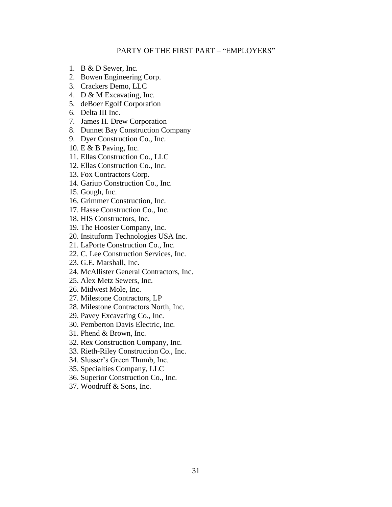#### PARTY OF THE FIRST PART – "EMPLOYERS"

- <span id="page-33-0"></span>1. B & D Sewer, Inc.
- 2. Bowen Engineering Corp.
- 3. Crackers Demo, LLC
- 4. D & M Excavating, Inc.
- 5. deBoer Egolf Corporation
- 6. Delta III Inc.
- 7. James H. Drew Corporation
- 8. Dunnet Bay Construction Company
- 9. Dyer Construction Co., Inc.
- 10. E & B Paving, Inc.
- 11. Ellas Construction Co., LLC
- 12. Ellas Construction Co., Inc.
- 13. Fox Contractors Corp.
- 14. Gariup Construction Co., Inc.
- 15. Gough, Inc.
- 16. Grimmer Construction, Inc.
- 17. Hasse Construction Co., Inc.
- 18. HIS Constructors, Inc.
- 19. The Hoosier Company, Inc.
- 20. Insituform Technologies USA Inc.
- 21. LaPorte Construction Co., Inc.
- 22. C. Lee Construction Services, Inc.
- 23. G.E. Marshall, Inc.
- 24. McAllister General Contractors, Inc.
- 25. Alex Metz Sewers, Inc.
- 26. Midwest Mole, Inc.
- 27. Milestone Contractors, LP
- 28. Milestone Contractors North, Inc.
- 29. Pavey Excavating Co., Inc.
- 30. Pemberton Davis Electric, Inc.
- 31. Phend & Brown, Inc.
- 32. Rex Construction Company, Inc.
- 33. Rieth-Riley Construction Co., Inc.
- 34. Slusser's Green Thumb, Inc.
- 35. Specialties Company, LLC
- 36. Superior Construction Co., Inc.
- 37. Woodruff & Sons, Inc.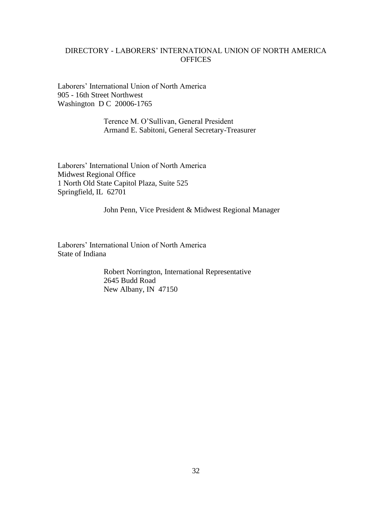## <span id="page-34-0"></span>DIRECTORY - LABORERS' INTERNATIONAL UNION OF NORTH AMERICA **OFFICES**

Laborers' International Union of North America 905 - 16th Street Northwest Washington D C 20006-1765

> Terence M. O'Sullivan, General President Armand E. Sabitoni, General Secretary-Treasurer

Laborers' International Union of North America Midwest Regional Office 1 North Old State Capitol Plaza, Suite 525 Springfield, IL 62701

John Penn, Vice President & Midwest Regional Manager

Laborers' International Union of North America State of Indiana

> Robert Norrington, International Representative 2645 Budd Road New Albany, IN 47150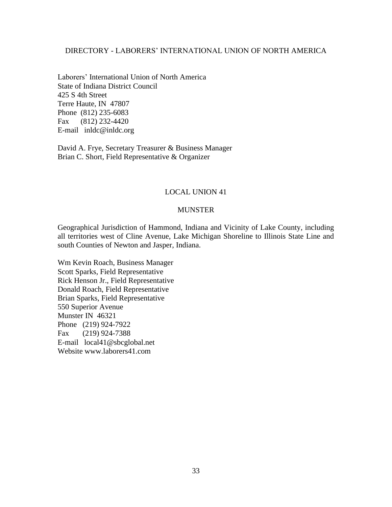# DIRECTORY - LABORERS' INTERNATIONAL UNION OF NORTH AMERICA

Laborers' International Union of North America State of Indiana District Council 425 S 4th Street Terre Haute, IN 47807 Phone (812) 235-6083 Fax (812) 232-4420 E-mail inldc@inldc.org

David A. Frye, Secretary Treasurer & Business Manager Brian C. Short, Field Representative & Organizer

## LOCAL UNION 41

#### MUNSTER

Geographical Jurisdiction of Hammond, Indiana and Vicinity of Lake County, including all territories west of Cline Avenue, Lake Michigan Shoreline to Illinois State Line and south Counties of Newton and Jasper, Indiana.

Wm Kevin Roach, Business Manager Scott Sparks, Field Representative Rick Henson Jr., Field Representative Donald Roach, Field Representative Brian Sparks, Field Representative 550 Superior Avenue Munster IN 46321 Phone (219) 924-7922 Fax (219) 924-7388 E-mail local41@sbcglobal.net Website www.laborers41.com